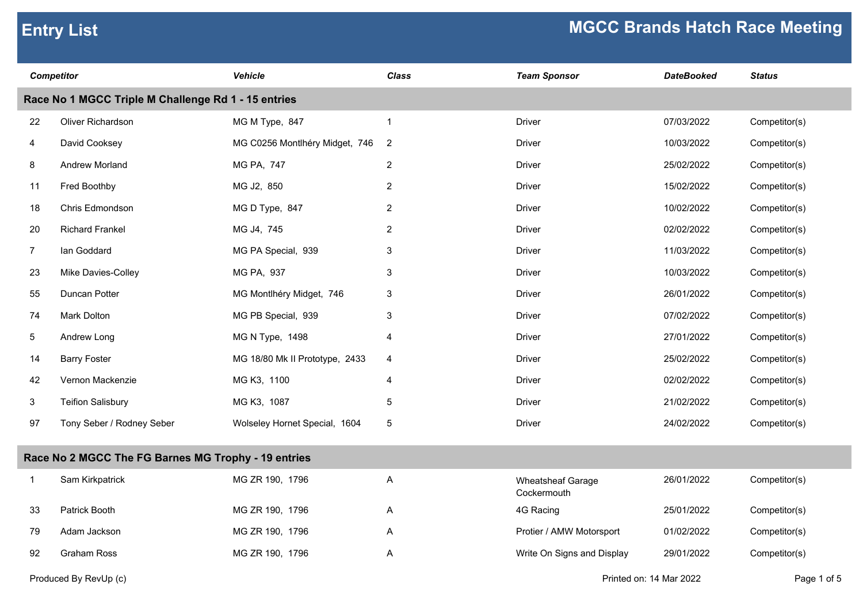| <b>Competitor</b> |                                                     | <b>Vehicle</b>                 | <b>Class</b>    | <b>Team Sponsor</b>                     | <b>DateBooked</b> | <b>Status</b> |
|-------------------|-----------------------------------------------------|--------------------------------|-----------------|-----------------------------------------|-------------------|---------------|
|                   | Race No 1 MGCC Triple M Challenge Rd 1 - 15 entries |                                |                 |                                         |                   |               |
| 22                | Oliver Richardson                                   | MG M Type, 847                 | $\mathbf{1}$    | <b>Driver</b>                           | 07/03/2022        | Competitor(s) |
| 4                 | David Cooksey                                       | MG C0256 Montlhéry Midget, 746 | $\overline{2}$  | <b>Driver</b>                           | 10/03/2022        | Competitor(s) |
| 8                 | Andrew Morland                                      | MG PA, 747                     | $\overline{2}$  | <b>Driver</b>                           | 25/02/2022        | Competitor(s) |
| 11                | Fred Boothby                                        | MG J2, 850                     | $\overline{2}$  | <b>Driver</b>                           | 15/02/2022        | Competitor(s) |
| 18                | Chris Edmondson                                     | MG D Type, 847                 | $\overline{2}$  | <b>Driver</b>                           | 10/02/2022        | Competitor(s) |
| 20                | <b>Richard Frankel</b>                              | MG J4, 745                     | $\overline{2}$  | <b>Driver</b>                           | 02/02/2022        | Competitor(s) |
| $\overline{7}$    | lan Goddard                                         | MG PA Special, 939             | 3               | <b>Driver</b>                           | 11/03/2022        | Competitor(s) |
| 23                | Mike Davies-Colley                                  | MG PA, 937                     | $\mathbf{3}$    | Driver                                  | 10/03/2022        | Competitor(s) |
| 55                | Duncan Potter                                       | MG Montlhéry Midget, 746       | 3               | <b>Driver</b>                           | 26/01/2022        | Competitor(s) |
| 74                | Mark Dolton                                         | MG PB Special, 939             | 3               | <b>Driver</b>                           | 07/02/2022        | Competitor(s) |
| 5                 | Andrew Long                                         | MG N Type, 1498                | $\overline{4}$  | <b>Driver</b>                           | 27/01/2022        | Competitor(s) |
| 14                | <b>Barry Foster</b>                                 | MG 18/80 Mk II Prototype, 2433 | 4               | <b>Driver</b>                           | 25/02/2022        | Competitor(s) |
| 42                | Vernon Mackenzie                                    | MG K3, 1100                    | 4               | <b>Driver</b>                           | 02/02/2022        | Competitor(s) |
| 3                 | <b>Teifion Salisbury</b>                            | MG K3, 1087                    | $5\phantom{.0}$ | <b>Driver</b>                           | 21/02/2022        | Competitor(s) |
| 97                | Tony Seber / Rodney Seber                           | Wolseley Hornet Special, 1604  | $5\phantom{.0}$ | <b>Driver</b>                           | 24/02/2022        | Competitor(s) |
|                   | Race No 2 MGCC The FG Barnes MG Trophy - 19 entries |                                |                 |                                         |                   |               |
| $\mathbf{1}$      | Sam Kirkpatrick                                     | MG ZR 190, 1796                | Α               | <b>Wheatsheaf Garage</b><br>Cockermouth | 26/01/2022        | Competitor(s) |
| 33                | Patrick Booth                                       | MG ZR 190, 1796                | A               | 4G Racing                               | 25/01/2022        | Competitor(s) |
| 79                | Adam Jackson                                        | MG ZR 190, 1796                | Α               | Protier / AMW Motorsport                | 01/02/2022        | Competitor(s) |
| 92                | <b>Graham Ross</b>                                  | MG ZR 190, 1796                | A               | Write On Signs and Display              | 29/01/2022        | Competitor(s) |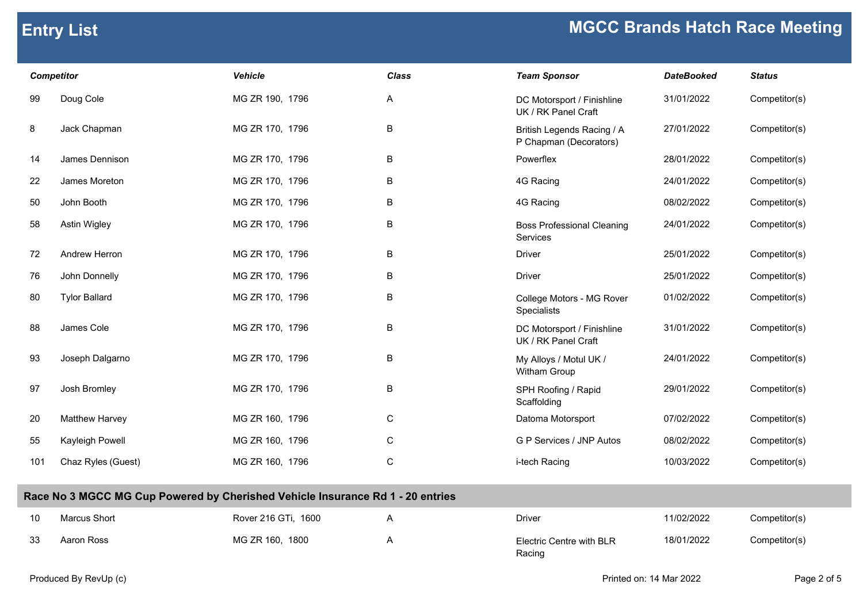|     | <b>MGCC Brands Hatch Race Meeting</b><br><b>Entry List</b> |                                                                                |             |                                                      |                         |                      |  |
|-----|------------------------------------------------------------|--------------------------------------------------------------------------------|-------------|------------------------------------------------------|-------------------------|----------------------|--|
|     | <b>Competitor</b>                                          | <b>Vehicle</b>                                                                 | Class       | <b>Team Sponsor</b>                                  | <b>DateBooked</b>       | <b>Status</b>        |  |
| 99  | Doug Cole                                                  | MG ZR 190, 1796                                                                | A           | DC Motorsport / Finishline<br>UK / RK Panel Craft    | 31/01/2022              | Competitor(s)        |  |
| 8   | Jack Chapman                                               | MG ZR 170, 1796                                                                | $\sf B$     | British Legends Racing / A<br>P Chapman (Decorators) | 27/01/2022              | Competitor(s)        |  |
| 14  | James Dennison                                             | MG ZR 170, 1796                                                                | $\sf B$     | Powerflex                                            | 28/01/2022              | Competitor(s)        |  |
| 22  | James Moreton                                              | MG ZR 170, 1796                                                                | B           | 4G Racing                                            | 24/01/2022              | Competitor(s)        |  |
| 50  | John Booth                                                 | MG ZR 170, 1796                                                                | $\sf B$     | 4G Racing                                            | 08/02/2022              | Competitor(s)        |  |
| 58  | Astin Wigley                                               | MG ZR 170, 1796                                                                | B           | <b>Boss Professional Cleaning</b><br>Services        | 24/01/2022              | Competitor(s)        |  |
| 72  | Andrew Herron                                              | MG ZR 170, 1796                                                                | B           | <b>Driver</b>                                        | 25/01/2022              | Competitor(s)        |  |
| 76  | John Donnelly                                              | MG ZR 170, 1796                                                                | $\sf B$     | <b>Driver</b>                                        | 25/01/2022              | Competitor(s)        |  |
| 80  | <b>Tylor Ballard</b>                                       | MG ZR 170, 1796                                                                | B           | College Motors - MG Rover<br>Specialists             | 01/02/2022              | Competitor(s)        |  |
| 88  | James Cole                                                 | MG ZR 170, 1796                                                                | $\sf B$     | DC Motorsport / Finishline<br>UK / RK Panel Craft    | 31/01/2022              | Competitor(s)        |  |
| 93  | Joseph Dalgarno                                            | MG ZR 170, 1796                                                                | $\sf B$     | My Alloys / Motul UK /<br>Witham Group               | 24/01/2022              | Competitor(s)        |  |
| 97  | Josh Bromley                                               | MG ZR 170, 1796                                                                | B           | SPH Roofing / Rapid<br>Scaffolding                   | 29/01/2022              | Competitor(s)        |  |
| 20  | Matthew Harvey                                             | MG ZR 160, 1796                                                                | $\mathsf C$ | Datoma Motorsport                                    | 07/02/2022              | Competitor(s)        |  |
| 55  | Kayleigh Powell                                            | MG ZR 160, 1796                                                                | C           | G P Services / JNP Autos                             | 08/02/2022              | Competitor(s)        |  |
| 101 | Chaz Ryles (Guest)                                         | MG ZR 160, 1796                                                                | ${\rm C}$   | i-tech Racing                                        | 10/03/2022              | Competitor(s)        |  |
|     |                                                            | Race No 3 MGCC MG Cup Powered by Cherished Vehicle Insurance Rd 1 - 20 entries |             |                                                      |                         |                      |  |
| 10  | Marcus Short                                               | Rover 216 GTi, 1600                                                            | Α           | Driver                                               | 11/02/2022              | Competitor(s)        |  |
| 33  | Aaron Ross                                                 | MG ZR 160, 1800                                                                | Α           | Electric Centre with BLR<br>Racing                   | 18/01/2022              | Competitor(s)        |  |
|     | Dradugad Du Daul In                                        |                                                                                |             |                                                      | Drinted and 44 Mar 2022 | $Dess \Omega$ of $E$ |  |

## **Race No 3 MGCC MG Cup Powered by Cherished Vehicle Insurance Rd 1 - 20 entries**

| 10 | Marcus Short | Rover 216 GTi, 1600 | Driver                             | 11/02/2022 | Competitor(s) |
|----|--------------|---------------------|------------------------------------|------------|---------------|
| 33 | Aaron Ross   | MG ZR 160, 1800     | Electric Centre with BLR<br>Racing | 18/01/2022 | Competitor(s) |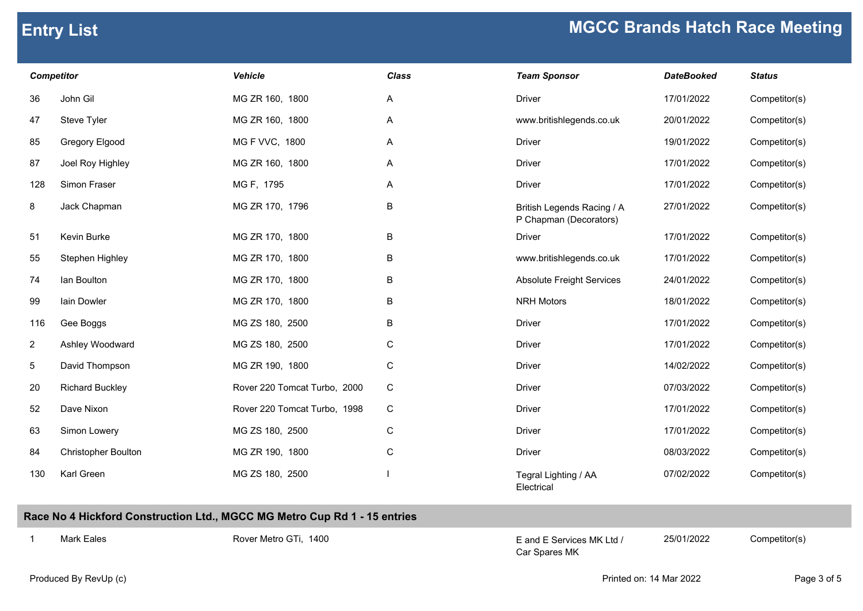| <b>Competitor</b> |                        | <b>Vehicle</b>               | <b>Class</b> | <b>Team Sponsor</b>                                  | <b>DateBooked</b> | <b>Status</b> |
|-------------------|------------------------|------------------------------|--------------|------------------------------------------------------|-------------------|---------------|
| 36                | John Gil               | MG ZR 160, 1800              | A            | <b>Driver</b>                                        | 17/01/2022        | Competitor(s) |
| 47                | Steve Tyler            | MG ZR 160, 1800              | Α            | www.britishlegends.co.uk                             | 20/01/2022        | Competitor(s) |
| 85                | Gregory Elgood         | MG F VVC, 1800               | A            | <b>Driver</b>                                        | 19/01/2022        | Competitor(s) |
| 87                | Joel Roy Highley       | MG ZR 160, 1800              | A            | <b>Driver</b>                                        | 17/01/2022        | Competitor(s) |
| 128               | Simon Fraser           | MG F, 1795                   | A            | <b>Driver</b>                                        | 17/01/2022        | Competitor(s) |
| 8                 | Jack Chapman           | MG ZR 170, 1796              | B            | British Legends Racing / A<br>P Chapman (Decorators) | 27/01/2022        | Competitor(s) |
| 51                | Kevin Burke            | MG ZR 170, 1800              | B            | <b>Driver</b>                                        | 17/01/2022        | Competitor(s) |
| 55                | Stephen Highley        | MG ZR 170, 1800              | В            | www.britishlegends.co.uk                             | 17/01/2022        | Competitor(s) |
| 74                | lan Boulton            | MG ZR 170, 1800              | В            | <b>Absolute Freight Services</b>                     | 24/01/2022        | Competitor(s) |
| 99                | lain Dowler            | MG ZR 170, 1800              | B            | <b>NRH Motors</b>                                    | 18/01/2022        | Competitor(s) |
| 116               | Gee Boggs              | MG ZS 180, 2500              | B            | <b>Driver</b>                                        | 17/01/2022        | Competitor(s) |
| $\overline{a}$    | Ashley Woodward        | MG ZS 180, 2500              | С            | <b>Driver</b>                                        | 17/01/2022        | Competitor(s) |
| 5                 | David Thompson         | MG ZR 190, 1800              | C            | <b>Driver</b>                                        | 14/02/2022        | Competitor(s) |
| 20                | <b>Richard Buckley</b> | Rover 220 Tomcat Turbo, 2000 | $\mathsf C$  | <b>Driver</b>                                        | 07/03/2022        | Competitor(s) |
| 52                | Dave Nixon             | Rover 220 Tomcat Turbo, 1998 | $\mathsf C$  | <b>Driver</b>                                        | 17/01/2022        | Competitor(s) |
| 63                | Simon Lowery           | MG ZS 180, 2500              | C            | <b>Driver</b>                                        | 17/01/2022        | Competitor(s) |
| 84                | Christopher Boulton    | MG ZR 190, 1800              | C            | <b>Driver</b>                                        | 08/03/2022        | Competitor(s) |
| 130               | Karl Green             | MG ZS 180, 2500              |              | Tegral Lighting / AA                                 | 07/02/2022        | Competitor(s) |

| <b>Team Sponsor</b>                                  | <b>DateBooked</b> | <b>Status</b> |
|------------------------------------------------------|-------------------|---------------|
| Driver                                               | 17/01/2022        | Competitor(s) |
| www.britishlegends.co.uk                             | 20/01/2022        | Competitor(s) |
| Driver                                               | 19/01/2022        | Competitor(s) |
| Driver                                               | 17/01/2022        | Competitor(s) |
| Driver                                               | 17/01/2022        | Competitor(s) |
| British Legends Racing / A<br>P Chapman (Decorators) | 27/01/2022        | Competitor(s) |
| <b>Driver</b>                                        | 17/01/2022        | Competitor(s) |
| www.britishlegends.co.uk                             | 17/01/2022        | Competitor(s) |
| <b>Absolute Freight Services</b>                     | 24/01/2022        | Competitor(s) |
| <b>NRH Motors</b>                                    | 18/01/2022        | Competitor(s) |
| Driver                                               | 17/01/2022        | Competitor(s) |
| Driver                                               | 17/01/2022        | Competitor(s) |
| Driver                                               | 14/02/2022        | Competitor(s) |
| Driver                                               | 07/03/2022        | Competitor(s) |
| Driver                                               | 17/01/2022        | Competitor(s) |
| Driver                                               | 17/01/2022        | Competitor(s) |
| Driver                                               | 08/03/2022        | Competitor(s) |
| Tegral Lighting / AA<br>Flectrical                   | 07/02/2022        | Competitor(s) |

## **Race No 4 Hickford Construction Ltd., MGCC MG Metro Cup Rd 1 - 15 entries**

1 Mark Eales **Exercices Exercise Exercise Competitor CE** and E Services MK Ltd / 25/01/2022 Competitor(s) Car Spares MK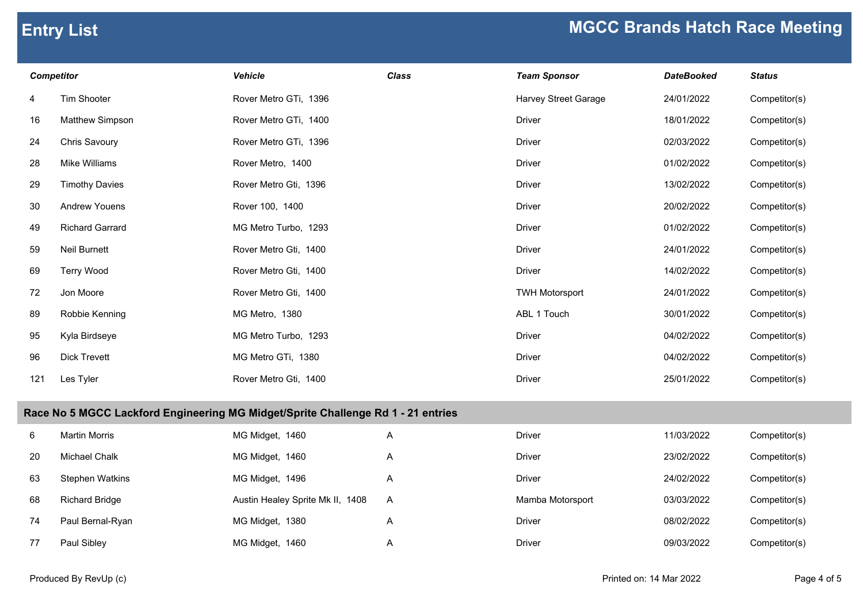| <b>Competitor</b> |                                                                                  | <b>Vehicle</b>        | <b>Class</b> | <b>Team Sponsor</b>   | <b>DateBooked</b> | <b>Status</b> |  |
|-------------------|----------------------------------------------------------------------------------|-----------------------|--------------|-----------------------|-------------------|---------------|--|
| 4                 | Tim Shooter                                                                      | Rover Metro GTi, 1396 |              | Harvey Street Garage  | 24/01/2022        | Competitor(s) |  |
| 16                | Matthew Simpson                                                                  | Rover Metro GTi, 1400 |              | <b>Driver</b>         | 18/01/2022        | Competitor(s) |  |
| 24                | Chris Savoury                                                                    | Rover Metro GTi, 1396 |              | <b>Driver</b>         | 02/03/2022        | Competitor(s) |  |
| 28                | Mike Williams                                                                    | Rover Metro, 1400     |              | <b>Driver</b>         | 01/02/2022        | Competitor(s) |  |
| 29                | <b>Timothy Davies</b>                                                            | Rover Metro Gti, 1396 |              | <b>Driver</b>         | 13/02/2022        | Competitor(s) |  |
| 30                | <b>Andrew Youens</b>                                                             | Rover 100, 1400       |              | <b>Driver</b>         | 20/02/2022        | Competitor(s) |  |
| 49                | <b>Richard Garrard</b>                                                           | MG Metro Turbo, 1293  |              | <b>Driver</b>         | 01/02/2022        | Competitor(s) |  |
| 59                | <b>Neil Burnett</b>                                                              | Rover Metro Gti, 1400 |              | <b>Driver</b>         | 24/01/2022        | Competitor(s) |  |
| 69                | <b>Terry Wood</b>                                                                | Rover Metro Gti, 1400 |              | <b>Driver</b>         | 14/02/2022        | Competitor(s) |  |
| 72                | Jon Moore                                                                        | Rover Metro Gti, 1400 |              | <b>TWH Motorsport</b> | 24/01/2022        | Competitor(s) |  |
| 89                | Robbie Kenning                                                                   | MG Metro, 1380        |              | ABL 1 Touch           | 30/01/2022        | Competitor(s) |  |
| 95                | Kyla Birdseye                                                                    | MG Metro Turbo, 1293  |              | <b>Driver</b>         | 04/02/2022        | Competitor(s) |  |
| 96                | <b>Dick Trevett</b>                                                              | MG Metro GTi, 1380    |              | <b>Driver</b>         | 04/02/2022        | Competitor(s) |  |
| 121               | Les Tyler                                                                        | Rover Metro Gti, 1400 |              | <b>Driver</b>         | 25/01/2022        | Competitor(s) |  |
|                   | Race No 5 MGCC Lackford Engineering MG Midget/Sprite Challenge Rd 1 - 21 entries |                       |              |                       |                   |               |  |
| 6                 | <b>Martin Morris</b>                                                             | MG Midget, 1460       | A            | <b>Driver</b>         | 11/03/2022        | Competitor(s) |  |

|    | Martin Monis           | <b>IVIG IVIIQGEL, 1400</b>       | $\forall$ | PUNGI            | 1 1/03/2022 | COMPETIONS)   |
|----|------------------------|----------------------------------|-----------|------------------|-------------|---------------|
| 20 | Michael Chalk          | MG Midget, 1460                  | n.        | <b>Driver</b>    | 23/02/2022  | Competitor(s) |
| 63 | <b>Stephen Watkins</b> | MG Midget, 1496                  | A         | <b>Driver</b>    | 24/02/2022  | Competitor(s) |
| 68 | <b>Richard Bridge</b>  | Austin Healey Sprite Mk II, 1408 | A         | Mamba Motorsport | 03/03/2022  | Competitor(s) |
| 74 | Paul Bernal-Ryan       | MG Midget, 1380                  | A         | <b>Driver</b>    | 08/02/2022  | Competitor(s) |
| 77 | Paul Sibley            | MG Midget, 1460                  | A         | Driver           | 09/03/2022  | Competitor(s) |